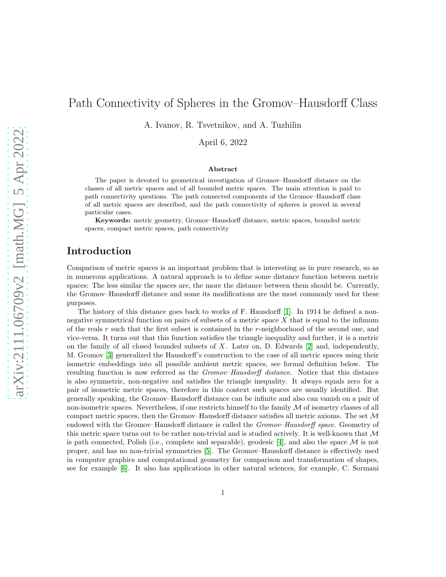# Path Connectivity of Spheres in the Gromov–Hausdorff Class

A. Ivanov, R. Tsvetnikov, and A. Tuzhilin

April 6, 2022

### Abstract

The paper is devoted to geometrical investigation of Gromov–Hausdorff distance on the classes of all metric spaces and of all bounded metric spaces. The main attention is paid to path connectivity questions. The path connected components of the Gromov–Hausdorff class of all metric spaces are described, and the path connectivity of spheres is proved in several particular cases.

Keywords: metric geometry, Gromov–Hausdorff distance, metric spaces, bounded metric spaces, compact metric spaces, path connectivity

## Introduction

Comparison of metric spaces is an important problem that is interesting as in pure research, so as in numerous applications. A natural approach is to define some distance function between metric spaces: The less similar the spaces are, the more the distance between them should be. Currently, the Gromov–Hausdorff distance and some its modifications are the most commonly used for these purposes.

The history of this distance goes back to works of F. Hausdorff [\[1\]](#page-16-0). In 1914 he defined a nonnegative symmetrical function on pairs of subsets of a metric space  $X$  that is equal to the infimum of the reals r such that the first subset is contained in the r-neighborhood of the second one, and vice-versa. It turns out that this function satisfies the triangle inequality and further, it is a metric on the family of all closed bounded subsets of  $X$ . Later on, D. Edwards [\[2\]](#page-16-1) and, independently, M. Gromov [\[3\]](#page-16-2) generalized the Hausdorff's construction to the case of all metric spaces using their isometric embeddings into all possible ambient metric spaces, see formal definition below. The resulting function is now referred as the *Gromov–Hausdorff distance*. Notice that this distance is also symmetric, non-negative and satisfies the triangle inequality. It always equals zero for a pair of isometric metric spaces, therefore in this context such spaces are usually identified. But generally speaking, the Gromov–Hausdorff distance can be infinite and also can vanish on a pair of non-isometric spaces. Nevertheless, if one restricts himself to the family  $M$  of isometry classes of all compact metric spaces, then the Gromov–Hausdorff distance satisfies all metric axioms. The set M endowed with the Gromov–Hausdorff distance is called the *Gromov–Hausdorff space*. Geometry of this metric space turns out to be rather non-trivial and is studied actively. It is well-known that  $\mathcal M$ is path connected, Polish (i.e., complete and separable), geodesic [\[4\]](#page-16-3), and also the space  $\mathcal M$  is not proper, and has no non-trivial symmetries [\[5\]](#page-16-4). The Gromov–Hausdorff distance is effectively used in computer graphics and computational geometry for comparison and transformation of shapes, see for example [\[6\]](#page-16-5). It also has applications in other natural sciences, for example, C. Sormani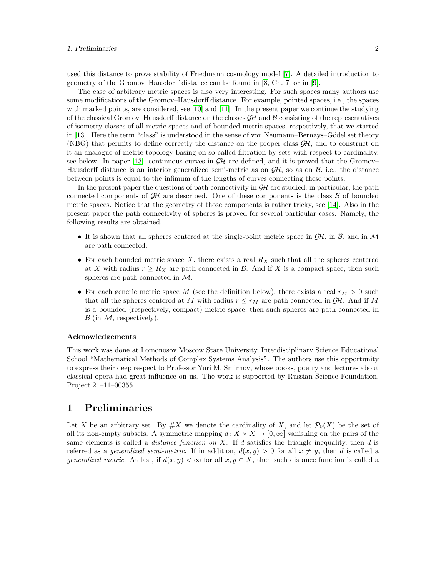used this distance to prove stability of Friedmann cosmology model [\[7\]](#page-16-6). A detailed introduction to geometry of the Gromov–Hausdorff distance can be found in [\[8,](#page-16-7) Ch. 7] or in [\[9\]](#page-16-8).

The case of arbitrary metric spaces is also very interesting. For such spaces many authors use some modifications of the Gromov–Hausdorff distance. For example, pointed spaces, i.e., the spaces with marked points, are considered, see [\[10\]](#page-16-9) and [\[11\]](#page-16-10). In the present paper we continue the studying of the classical Gromov–Hausdorff distance on the classes  $\mathcal{GH}$  and  $\mathcal B$  consisting of the representatives of isometry classes of all metric spaces and of bounded metric spaces, respectively, that we started in [\[13\]](#page-16-11). Here the term "class" is understood in the sense of von Neumann–Bernays–Gödel set theory (NBG) that permits to define correctly the distance on the proper class  $\mathcal{GH}$ , and to construct on it an analogue of metric topology basing on so-called filtration by sets with respect to cardinality, see below. In paper [\[13\]](#page-16-11), continuous curves in  $GH$  are defined, and it is proved that the Gromov– Hausdorff distance is an interior generalized semi-metric as on  $\mathcal{GH}$ , so as on  $\mathcal{B}$ , i.e., the distance between points is equal to the infimum of the lengths of curves connecting these points.

In the present paper the questions of path connectivity in  $\mathcal{GH}$  are studied, in particular, the path connected components of  $\mathcal{GH}$  are described. One of these components is the class  $\mathcal B$  of bounded metric spaces. Notice that the geometry of those components is rather tricky, see [\[14\]](#page-16-12). Also in the present paper the path connectivity of spheres is proved for several particular cases. Namely, the following results are obtained.

- It is shown that all spheres centered at the single-point metric space in  $\mathcal{GH}$ , in  $\mathcal{B}$ , and in  $\mathcal{M}$ are path connected.
- For each bounded metric space X, there exists a real  $R_X$  such that all the spheres centered at X with radius  $r \geq R_X$  are path connected in B. And if X is a compact space, then such spheres are path connected in M.
- For each generic metric space M (see the definition below), there exists a real  $r_M > 0$  such that all the spheres centered at M with radius  $r \leq r_M$  are path connected in  $\mathcal{GH}$ . And if M is a bounded (respectively, compact) metric space, then such spheres are path connected in  $\mathcal{B}$  (in  $\mathcal{M}$ , respectively).

### Acknowledgements

This work was done at Lomonosov Moscow State University, Interdisciplinary Science Educational School "Mathematical Methods of Complex Systems Analysis". The authors use this opportunity to express their deep respect to Professor Yuri M. Smirnov, whose books, poetry and lectures about classical opera had great influence on us. The work is supported by Russian Science Foundation, Project 21–11–00355.

### 1 Preliminaries

Let X be an arbitrary set. By  $\#X$  we denote the cardinality of X, and let  $\mathcal{P}_0(X)$  be the set of all its non-empty subsets. A symmetric mapping  $d: X \times X \to [0, \infty]$  vanishing on the pairs of the same elements is called a *distance function on X*. If d satisfies the triangle inequality, then  $d$  is referred as a *generalized semi-metric*. If in addition,  $d(x, y) > 0$  for all  $x \neq y$ , then d is called a generalized metric. At last, if  $d(x, y) < \infty$  for all  $x, y \in X$ , then such distance function is called a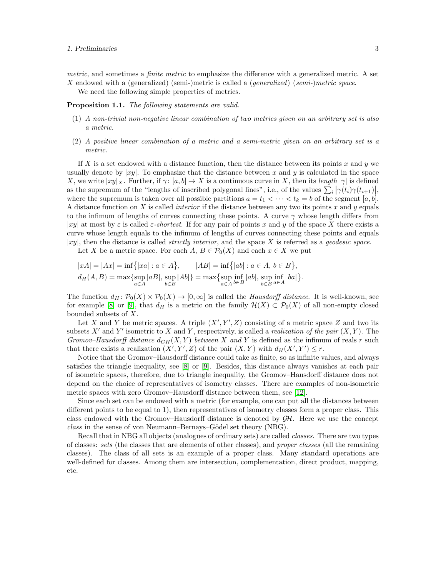metric, and sometimes a finite metric to emphasize the difference with a generalized metric. A set X endowed with a (generalized) (semi-)metric is called a (generalized) (semi-)metric space.

We need the following simple properties of metrics.

<span id="page-2-0"></span>**Proposition 1.1.** The following statements are valid.

- (1) A non-trivial non-negative linear combination of two metrics given on an arbitrary set is also a metric.
- (2) A positive linear combination of a metric and a semi-metric given on an arbitrary set is a metric.

If X is a set endowed with a distance function, then the distance between its points x and y we usually denote by  $|xy|$ . To emphasize that the distance between x and y is calculated in the space X, we write  $|xy|_X$ . Further, if  $\gamma: [a, b] \to X$  is a continuous curve in X, then its length  $|\gamma|$  is defined as the supremum of the "lengths of inscribed polygonal lines", i.e., of the values  $\sum_i |\gamma(t_i)\gamma(t_{i+1})|$ where the supremum is taken over all possible partitions  $a = t_1 < \cdots < t_k = b$  of the segment  $[a, b]$ . A distance function on X is called *interior* if the distance between any two its points x and y equals to the infimum of lengths of curves connecting these points. A curve  $\gamma$  whose length differs from |xy| at most by  $\varepsilon$  is called  $\varepsilon$ -shortest. If for any pair of points x and y of the space X there exists a curve whose length equals to the infimum of lengths of curves connecting these points and equals |xy|, then the distance is called *strictly interior*, and the space X is referred as a *qeodesic space*.

Let X be a metric space. For each  $A, B \in \mathcal{P}_0(X)$  and each  $x \in X$  we put

$$
|xA| = |Ax| = \inf\{|xa| : a \in A\}, \qquad |AB| = \inf\{|ab| : a \in A, b \in B\},\
$$
  

$$
d_H(A, B) = \max\{\sup_{a \in A} |ab|, \sup_{b \in B} |Ab|\} = \max\{\sup_{a \in A} \inf_{b \in B} |ab|, \sup_{b \in B} \inf_{a \in A} |ba|\}.
$$

The function  $d_H: \mathcal{P}_0(X) \times \mathcal{P}_0(X) \to [0, \infty]$  is called the *Hausdorff distance*. It is well-known, see for example [\[8\]](#page-16-7) or [\[9\]](#page-16-8), that  $d_H$  is a metric on the family  $\mathcal{H}(X) \subset \mathcal{P}_0(X)$  of all non-empty closed bounded subsets of X.

Let X and Y be metric spaces. A triple  $(X', Y', Z)$  consisting of a metric space Z and two its subsets X' and Y' isometric to X and Y, respectively, is called a *realization of the pair*  $(X, Y)$ . The Gromov–Hausdorff distance  $d_{GH}(X, Y)$  between X and Y is defined as the infimum of reals r such that there exists a realization  $(X', Y', Z)$  of the pair  $(X, Y)$  with  $d_H(X', Y') \leq r$ .

Notice that the Gromov–Hausdorff distance could take as finite, so as infinite values, and always satisfies the triangle inequality, see [\[8\]](#page-16-7) or [\[9\]](#page-16-8). Besides, this distance always vanishes at each pair of isometric spaces, therefore, due to triangle inequality, the Gromov–Hausdorff distance does not depend on the choice of representatives of isometry classes. There are examples of non-isometric metric spaces with zero Gromov–Hausdorff distance between them, see [\[12\]](#page-16-13).

Since each set can be endowed with a metric (for example, one can put all the distances between different points to be equal to 1), then representatives of isometry classes form a proper class. This class endowed with the Gromov–Hausdorff distance is denoted by  $\mathcal{GH}$ . Here we use the concept  $class$  in the sense of von Neumann–Bernays–Gödel set theory (NBG).

Recall that in NBG all objects (analogues of ordinary sets) are called classes. There are two types of classes: sets (the classes that are elements of other classes), and proper classes (all the remaining classes). The class of all sets is an example of a proper class. Many standard operations are well-defined for classes. Among them are intersection, complementation, direct product, mapping, etc.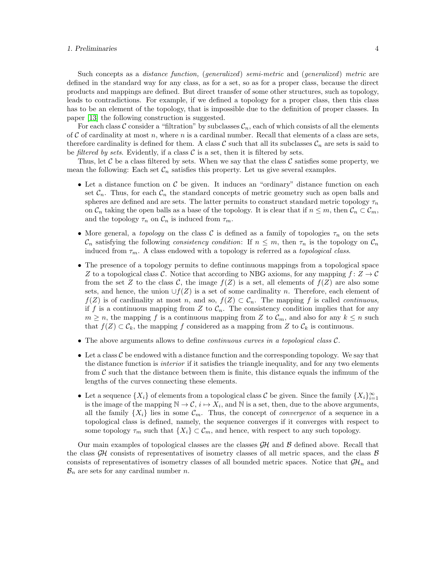### 1. Preliminaries 4

Such concepts as a *distance function*, (*generalized*) semi-metric and (*generalized*) metric are defined in the standard way for any class, as for a set, so as for a proper class, because the direct products and mappings are defined. But direct transfer of some other structures, such as topology, leads to contradictions. For example, if we defined a topology for a proper class, then this class has to be an element of the topology, that is impossible due to the definition of proper classes. In paper [\[13\]](#page-16-11) the following construction is suggested.

For each class C consider a "filtration" by subclasses  $\mathcal{C}_n$ , each of which consists of all the elements of  $C$  of cardinality at most n, where n is a cardinal number. Recall that elements of a class are sets, therefore cardinality is defined for them. A class C such that all its subclasses  $\mathcal{C}_n$  are sets is said to be *filtered by sets*. Evidently, if a class  $\mathcal C$  is a set, then it is filtered by sets.

Thus, let C be a class filtered by sets. When we say that the class C satisfies some property, we mean the following: Each set  $\mathcal{C}_n$  satisfies this property. Let us give several examples.

- Let a distance function on  $\mathcal C$  be given. It induces an "ordinary" distance function on each set  $\mathcal{C}_n$ . Thus, for each  $\mathcal{C}_n$  the standard concepts of metric geometry such as open balls and spheres are defined and are sets. The latter permits to construct standard metric topology  $\tau_n$ on  $\mathcal{C}_n$  taking the open balls as a base of the topology. It is clear that if  $n \leq m$ , then  $\mathcal{C}_n \subset \mathcal{C}_m$ , and the topology  $\tau_n$  on  $\mathcal{C}_n$  is induced from  $\tau_m$ .
- More general, a topology on the class C is defined as a family of topologies  $\tau_n$  on the sets  $\mathcal{C}_n$  satisfying the following consistency condition: If  $n \leq m$ , then  $\tau_n$  is the topology on  $\mathcal{C}_n$ induced from  $\tau_m$ . A class endowed with a topology is referred as a topological class.
- The presence of a topology permits to define continuous mappings from a topological space Z to a topological class C. Notice that according to NBG axioms, for any mapping  $f: Z \to C$ from the set Z to the class C, the image  $f(Z)$  is a set, all elements of  $f(Z)$  are also some sets, and hence, the union  $\bigcup f(Z)$  is a set of some cardinality n. Therefore, each element of  $f(Z)$  is of cardinality at most n, and so,  $f(Z) \subset C_n$ . The mapping f is called *continuous*, if f is a continuous mapping from Z to  $\mathcal{C}_n$ . The consistency condition implies that for any  $m \geq n$ , the mapping f is a continuous mapping from Z to  $\mathcal{C}_m$ , and also for any  $k \leq n$  such that  $f(Z) \subset \mathcal{C}_k$ , the mapping f considered as a mapping from Z to  $\mathcal{C}_k$  is continuous.
- The above arguments allows to define *continuous curves in a topological class C*.
- Let a class  $\mathcal C$  be endowed with a distance function and the corresponding topology. We say that the distance function is *interior* if it satisfies the triangle inequality, and for any two elements from  $\mathcal C$  such that the distance between them is finite, this distance equals the infimum of the lengths of the curves connecting these elements.
- Let a sequence  $\{X_i\}$  of elements from a topological class C be given. Since the family  $\{X_i\}_{i=1}^{\infty}$ is the image of the mapping  $\mathbb{N} \to \mathcal{C}$ ,  $i \mapsto X_i$ , and  $\mathbb N$  is a set, then, due to the above arguments, all the family  $\{X_i\}$  lies in some  $\mathcal{C}_m$ . Thus, the concept of *convergence* of a sequence in a topological class is defined, namely, the sequence converges if it converges with respect to some topology  $\tau_m$  such that  $\{X_i\} \subset \mathcal{C}_m$ , and hence, with respect to any such topology.

Our main examples of topological classes are the classes  $\mathcal{GH}$  and  $\mathcal B$  defined above. Recall that the class  $\mathcal{GH}$  consists of representatives of isometry classes of all metric spaces, and the class  $\mathcal{B}$ consists of representatives of isometry classes of all bounded metric spaces. Notice that  $\mathcal{GH}_n$  and  $\mathcal{B}_n$  are sets for any cardinal number n.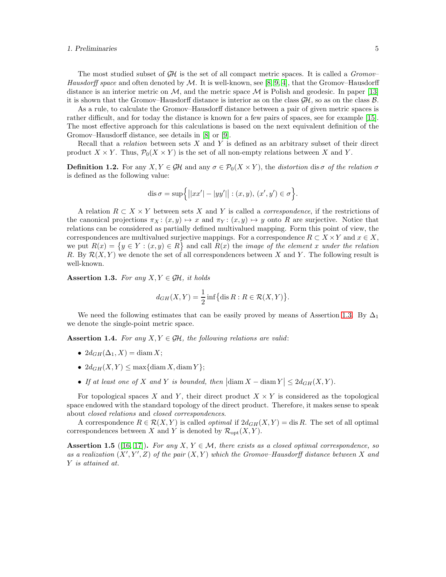### 1. Preliminaries 5

The most studied subset of  $\mathcal{GH}$  is the set of all compact metric spaces. It is called a  $Gromov$ – Hausdorff space and often denoted by  $\mathcal M$ . It is well-known, see [\[8,](#page-16-7) [9,](#page-16-8) [4\]](#page-16-3), that the Gromov–Hausdorff distance is an interior metric on  $M$ , and the metric space  $M$  is Polish and geodesic. In paper [\[13\]](#page-16-11) it is shown that the Gromov–Hausdorff distance is interior as on the class  $\mathcal{GH}$ , so as on the class  $\mathcal{B}$ .

As a rule, to calculate the Gromov–Hausdorff distance between a pair of given metric spaces is rather difficult, and for today the distance is known for a few pairs of spaces, see for example [\[15\]](#page-16-14). The most effective approach for this calculations is based on the next equivalent definition of the Gromov–Hausdorff distance, see details in [\[8\]](#page-16-7) or [\[9\]](#page-16-8).

Recall that a *relation* between sets  $X$  and  $Y$  is defined as an arbitrary subset of their direct product  $X \times Y$ . Thus,  $\mathcal{P}_0(X \times Y)$  is the set of all non-empty relations between X and Y.

**Definition 1.2.** For any  $X, Y \in \mathcal{GH}$  and any  $\sigma \in \mathcal{P}_0(X \times Y)$ , the distortion dis  $\sigma$  of the relation  $\sigma$ is defined as the following value:

dis
$$
\sigma = \sup \{|xx'| - |yy'|| : (x, y), (x', y') \in \sigma \}.
$$

A relation  $R \subset X \times Y$  between sets X and Y is called a *correspondence*, if the restrictions of the canonical projections  $\pi_X : (x, y) \mapsto x$  and  $\pi_Y : (x, y) \mapsto y$  onto R are surjective. Notice that relations can be considered as partially defined multivalued mapping. Form this point of view, the correspondences are multivalued surjective mappings. For a correspondence  $R \subset X \times Y$  and  $x \in X$ , we put  $R(x) = \{y \in Y : (x, y) \in R\}$  and call  $R(x)$  the *image of the element x under the relation* R. By  $\mathcal{R}(X, Y)$  we denote the set of all correspondences between X and Y. The following result is well-known.

<span id="page-4-0"></span>Assertion 1.3. For any  $X, Y \in \mathcal{GH}$ , it holds

$$
d_{GH}(X,Y) = \frac{1}{2} \inf \{ \operatorname{dis} R : R \in \mathcal{R}(X,Y) \}.
$$

We need the following estimates that can be easily proved by means of Assertion [1.3.](#page-4-0) By  $\Delta_1$ we denote the single-point metric space.

<span id="page-4-1"></span>Assertion 1.4. For any  $X, Y \in \mathcal{GH}$ , the following relations are valid:

- $2d_{GH}(\Delta_1, X) = \text{diam } X;$
- $2d_{GH}(X, Y) \leq \max\{\text{diam } X, \text{diam } Y\};$
- If at least one of X and Y is bounded, then  $|\text{diam } X \text{diam } Y| \leq 2d_{GH}(X, Y)$ .

For topological spaces X and Y, their direct product  $X \times Y$  is considered as the topological space endowed with the standard topology of the direct product. Therefore, it makes sense to speak about closed relations and closed correspondences.

A correspondence  $R \in \mathcal{R}(X, Y)$  is called *optimal* if  $2d_{GH}(X, Y) = \text{dis } R$ . The set of all optimal correspondences between X and Y is denoted by  $\mathcal{R}_{\text{opt}}(X, Y)$ .

**Assertion 1.5** ([\[16,](#page-16-15) [17\]](#page-17-0)). For any X,  $Y \in \mathcal{M}$ , there exists as a closed optimal correspondence, so as a realization  $(X', Y', Z)$  of the pair  $(X, Y)$  which the Gromov-Hausdorff distance between X and Y is attained at.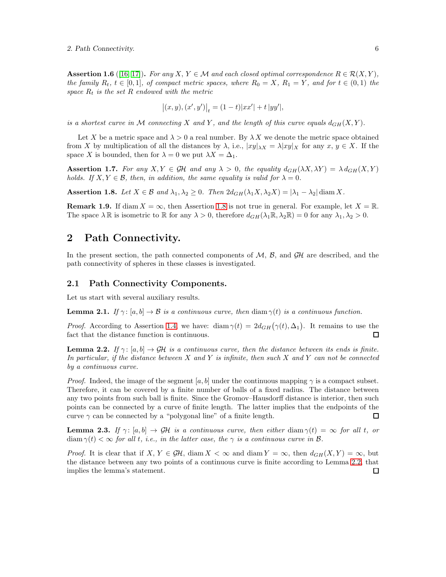**Assertion 1.6** ([\[16,](#page-16-15) [17\]](#page-17-0)). For any  $X, Y \in \mathcal{M}$  and each closed optimal correspondence  $R \in \mathcal{R}(X, Y)$ , the family  $R_t$ ,  $t \in [0,1]$ , of compact metric spaces, where  $R_0 = X$ ,  $R_1 = Y$ , and for  $t \in (0,1)$  the space  $R_t$  is the set  $R$  endowed with the metric

$$
|(x, y), (x', y')|_{t} = (1-t)|xx'| + t |yy'|,
$$

is a shortest curve in M connecting X and Y, and the length of this curve equals  $d_{GH}(X, Y)$ .

Let X be a metric space and  $\lambda > 0$  a real number. By  $\lambda X$  we denote the metric space obtained from X by multiplication of all the distances by  $\lambda$ , i.e.,  $|xy|_{\lambda X} = \lambda |xy|_X$  for any  $x, y \in X$ . If the space X is bounded, then for  $\lambda = 0$  we put  $\lambda X = \Delta_1$ .

**Assertion 1.7.** For any  $X, Y \in \mathcal{GH}$  and any  $\lambda > 0$ , the equality  $d_{GH}(\lambda X, \lambda Y) = \lambda d_{GH}(X, Y)$ holds. If  $X, Y \in \mathcal{B}$ , then, in addition, the same equality is valid for  $\lambda = 0$ .

<span id="page-5-0"></span>Assertion 1.8. Let  $X \in \mathcal{B}$  and  $\lambda_1, \lambda_2 \geq 0$ . Then  $2d_{GH}(\lambda_1 X, \lambda_2 X) = |\lambda_1 - \lambda_2| \operatorname{diam} X$ .

**Remark 1.9.** If diam  $X = \infty$ , then Assertion [1.8](#page-5-0) is not true in general. For example, let  $X = \mathbb{R}$ . The space  $\lambda \mathbb{R}$  is isometric to  $\mathbb{R}$  for any  $\lambda > 0$ , therefore  $d_{GH}(\lambda_1 \mathbb{R}, \lambda_2 \mathbb{R}) = 0$  for any  $\lambda_1, \lambda_2 > 0$ .

# 2 Path Connectivity.

In the present section, the path connected components of  $M$ ,  $B$ , and  $\mathcal{GH}$  are described, and the path connectivity of spheres in these classes is investigated.

### 2.1 Path Connectivity Components.

Let us start with several auxiliary results.

<span id="page-5-3"></span>**Lemma 2.1.** If  $\gamma: [a, b] \to \mathcal{B}$  is a continuous curve, then diam  $\gamma(t)$  is a continuous function.

*Proof.* According to Assertion [1.4,](#page-4-1) we have: diam  $\gamma(t) = 2d_{GH}(\gamma(t), \Delta_1)$ . It remains to use the fact that the distance function is continuous.  $\Box$ 

<span id="page-5-1"></span>**Lemma 2.2.** If  $\gamma: [a, b] \to \mathcal{GH}$  is a continuous curve, then the distance between its ends is finite. In particular, if the distance between  $X$  and  $Y$  is infinite, then such  $X$  and  $Y$  can not be connected by a continuous curve.

*Proof.* Indeed, the image of the segment [a, b] under the continuous mapping  $\gamma$  is a compact subset. Therefore, it can be covered by a finite number of balls of a fixed radius. The distance between any two points from such ball is finite. Since the Gromov–Hausdorff distance is interior, then such points can be connected by a curve of finite length. The latter implies that the endpoints of the curve  $\gamma$  can be connected by a "polygonal line" of a finite length.  $\Box$ 

<span id="page-5-2"></span>**Lemma 2.3.** If  $\gamma: [a, b] \to \mathcal{GH}$  is a continuous curve, then either diam  $\gamma(t) = \infty$  for all t, or diam  $\gamma(t) < \infty$  for all t, i.e., in the latter case, the  $\gamma$  is a continuous curve in B.

*Proof.* It is clear that if  $X, Y \in \mathcal{GH}$ , diam  $X < \infty$  and diam  $Y = \infty$ , then  $d_{GH}(X, Y) = \infty$ , but the distance between any two points of a continuous curve is finite according to Lemma [2.2,](#page-5-1) that implies the lemma's statement. $\Box$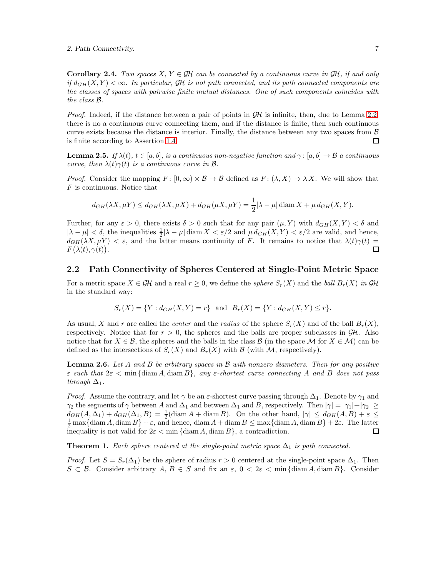**Corollary 2.4.** Two spaces  $X, Y \in \mathcal{GH}$  can be connected by a continuous curve in  $\mathcal{GH}$ , if and only if  $d_{GH}(X, Y) < \infty$ . In particular, GH is not path connected, and its path connected components are the classes of spaces with pairwise finite mutual distances. One of such components coincides with the class B.

*Proof.* Indeed, if the distance between a pair of points in  $GH$  is infinite, then, due to Lemma [2.2,](#page-5-1) there is no a continuous curve connecting them, and if the distance is finite, then such continuous curve exists because the distance is interior. Finally, the distance between any two spaces from  $\beta$ is finite according to Assertion [1.4.](#page-4-1)  $\Box$ 

<span id="page-6-1"></span>**Lemma 2.5.** If  $\lambda(t)$ ,  $t \in [a, b]$ , is a continuous non-negative function and  $\gamma: [a, b] \to \mathcal{B}$  a continuous curve, then  $\lambda(t)\gamma(t)$  is a continuous curve in  $\mathcal{B}$ .

*Proof.* Consider the mapping  $F : [0, \infty) \times \mathcal{B} \to \mathcal{B}$  defined as  $F : (\lambda, X) \mapsto \lambda X$ . We will show that  $F$  is continuous. Notice that

$$
d_{GH}(\lambda X, \mu Y) \le d_{GH}(\lambda X, \mu X) + d_{GH}(\mu X, \mu Y) = \frac{1}{2} |\lambda - \mu| \operatorname{diam} X + \mu d_{GH}(X, Y).
$$

Further, for any  $\varepsilon > 0$ , there exists  $\delta > 0$  such that for any pair  $(\mu, Y)$  with  $d_{GH}(X, Y) < \delta$  and  $|\lambda - \mu| < \delta$ , the inequalities  $\frac{1}{2}|\lambda - \mu|$  diam  $X < \varepsilon/2$  and  $\mu d_{GH}(X, Y) < \varepsilon/2$  are valid, and hence,  $d_{GH}(\lambda X, \mu Y) < \varepsilon$ , and the latter means continuity of F. It remains to notice that  $\lambda(t)\gamma(t) = F(\lambda(t), \gamma(t))$ .  $F(\lambda(t), \gamma(t)).$ 

### 2.2 Path Connectivity of Spheres Centered at Single-Point Metric Space

For a metric space  $X \in \mathcal{GH}$  and a real  $r \geq 0$ , we define the sphere  $S_r(X)$  and the ball  $B_r(X)$  in  $\mathcal{GH}$ in the standard way:

$$
S_r(X) = \{ Y : d_{GH}(X, Y) = r \}
$$
 and  $B_r(X) = \{ Y : d_{GH}(X, Y) \le r \}.$ 

As usual, X and r are called the *center* and the radius of the sphere  $S_r(X)$  and of the ball  $B_r(X)$ , respectively. Notice that for  $r > 0$ , the spheres and the balls are proper subclasses in  $\mathcal{GH}$ . Also notice that for  $X \in \mathcal{B}$ , the spheres and the balls in the class  $\mathcal{B}$  (in the space M for  $X \in \mathcal{M}$ ) can be defined as the intersections of  $S_r(X)$  and  $B_r(X)$  with  $\beta$  (with  $\mathcal M$ , respectively).

<span id="page-6-0"></span>**Lemma 2.6.** Let A and B be arbitrary spaces in B with nonzero diameters. Then for any positive  $\varepsilon$  such that  $2\varepsilon < \min{\{\operatorname{diam} A, \operatorname{diam} B\}}$ , any  $\varepsilon$ -shortest curve connecting A and B does not pass through  $\Delta_1$ .

*Proof.* Assume the contrary, and let  $\gamma$  be an  $\varepsilon$ -shortest curve passing through  $\Delta_1$ . Denote by  $\gamma_1$  and  $\gamma_2$  the segments of  $\gamma$  between A and  $\Delta_1$  and between  $\Delta_1$  and B, respectively. Then  $|\gamma| = |\gamma_1| + |\gamma_2| \ge$  $d_{GH}(A,\Delta_1)+d_{GH}(\Delta_1,B)=\frac{1}{2}(\text{diam }A+\text{diam }B).$  On the other hand,  $|\gamma|\leq d_{GH}(A,B)+\varepsilon\leq$  $\frac{1}{2}$  max{diam A, diam B} +  $\varepsilon$ , and hence, diam A + diam B  $\leq$  max{diam A, diam B} + 2 $\varepsilon$ . The latter inequality is not valid for  $2\varepsilon < \min{\{\operatorname{diam} A, \operatorname{diam} B\}}$ , a contradiction.

<span id="page-6-2"></span>**Theorem 1.** Each sphere centered at the single-point metric space  $\Delta_1$  is path connected.

*Proof.* Let  $S = S_r(\Delta_1)$  be the sphere of radius  $r > 0$  centered at the single-point space  $\Delta_1$ . Then  $S \subset \mathcal{B}$ . Consider arbitrary  $A, B \in S$  and fix an  $\varepsilon, 0 < 2\varepsilon < \min{\{\operatorname{diam} A, \operatorname{diam} B\}}$ . Consider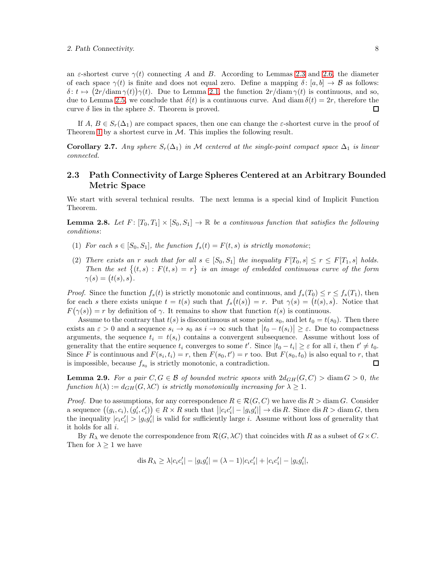an  $\varepsilon$ -shortest curve  $\gamma(t)$  connecting A and B. According to Lemmas [2.3](#page-5-2) and [2.6,](#page-6-0) the diameter of each space  $\gamma(t)$  is finite and does not equal zero. Define a mapping  $\delta: [a, b] \to \mathcal{B}$  as follows:  $\delta: t \mapsto (2r/\text{diam}\,\gamma(t))\gamma(t)$ . Due to Lemma [2.1,](#page-5-3) the function  $2r/\text{diam}\,\gamma(t)$  is continuous, and so, due to Lemma [2.5,](#page-6-1) we conclude that  $\delta(t)$  is a continuous curve. And diam  $\delta(t) = 2r$ , therefore the curve  $\delta$  lies in the sphere S. Theorem is proved.  $\Box$ 

If  $A, B \in S_r(\Delta_1)$  are compact spaces, then one can change the *ε*-shortest curve in the proof of Theorem [1](#page-6-2) by a shortest curve in  $M$ . This implies the following result.

**Corollary 2.7.** Any sphere  $S_r(\Delta_1)$  in M centered at the single-point compact space  $\Delta_1$  is linear connected.

### 2.3 Path Connectivity of Large Spheres Centered at an Arbitrary Bounded Metric Space

We start with several technical results. The next lemma is a special kind of Implicit Function Theorem.

<span id="page-7-1"></span>**Lemma 2.8.** Let  $F: [T_0, T_1] \times [S_0, S_1] \to \mathbb{R}$  be a continuous function that satisfies the following conditions:

- (1) For each  $s \in [S_0, S_1]$ , the function  $f_s(t) = F(t, s)$  is strictly monotonic;
- (2) There exists an r such that for all  $s \in [S_0, S_1]$  the inequality  $F[T_0, s] \le r \le F[T_1, s]$  holds. Then the set  $\{(t,s): F(t,s)=r\}$  is an image of embedded continuous curve of the form  $\gamma(s)=(t(s),s).$

*Proof.* Since the function  $f_s(t)$  is strictly monotonic and continuous, and  $f_s(T_0) \le r \le f_s(T_1)$ , then for each s there exists unique  $t = t(s)$  such that  $f_s(t(s)) = r$ . Put  $\gamma(s) = (t(s), s)$ . Notice that  $F(\gamma(s)) = r$  by definition of  $\gamma$ . It remains to show that function  $t(s)$  is continuous.

Assume to the contrary that  $t(s)$  is discontinuous at some point  $s_0$ , and let  $t_0 = t(s_0)$ . Then there exists an  $\varepsilon > 0$  and a sequence  $s_i \to s_0$  as  $i \to \infty$  such that  $|t_0 - t(s_i)| \geq \varepsilon$ . Due to compactness arguments, the sequence  $t_i = t(s_i)$  contains a convergent subsequence. Assume without loss of generality that the entire sequence  $t_i$  converges to some  $t'$ . Since  $|t_0 - t_i| \geq \varepsilon$  for all i, then  $t' \neq t_0$ . Since F is continuous and  $F(s_i, t_i) = r$ , then  $F(s_0, t') = r$  too. But  $F(s_0, t_0)$  is also equal to r, that is impossible, because  $f_{s_0}$  is strictly monotonic, a contradiction.  $\Box$ 

<span id="page-7-0"></span>**Lemma 2.9.** For a pair  $C, G \in \mathcal{B}$  of bounded metric spaces with  $2d_{GH}(G, C) > \text{diam } G > 0$ , the function  $h(\lambda) := d_{GH}(G, \lambda C)$  is strictly monotonically increasing for  $\lambda \geq 1$ .

*Proof.* Due to assumptions, for any correspondence  $R \in \mathcal{R}(G, C)$  we have dis  $R > \text{diam } G$ . Consider a sequence  $((g_i, c_i), (g'_i, c'_i)) \in R \times R$  such that  $||c_i c'_i|| - |g_i g'_i|| \to \text{dis } R$ . Since  $\text{dis } R > \text{diam } G$ , then the inequality  $|c_i c'_i| > |g_i g'_i|$  is valid for sufficiently large *i*. Assume without loss of generality that it holds for all i.

By  $R_{\lambda}$  we denote the correspondence from  $\mathcal{R}(G, \lambda C)$  that coincides with R as a subset of  $G \times C$ . Then for  $\lambda \geq 1$  we have

$$
\operatorname{dis} R_{\lambda} \ge \lambda |c_i c_i'| - |g_i g_i'| = (\lambda - 1)|c_i c_i'| + |c_i c_i'| - |g_i g_i'|,
$$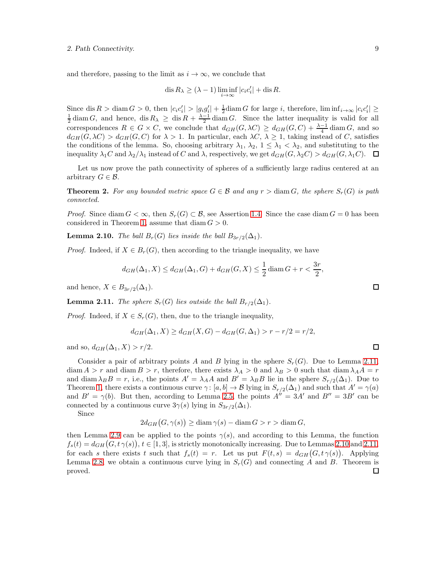and therefore, passing to the limit as  $i \to \infty$ , we conclude that

$$
\operatorname{dis} R_{\lambda} \ge (\lambda - 1) \liminf_{i \to \infty} |c_i c'_i| + \operatorname{dis} R.
$$

Since dis  $R > \text{diam } G > 0$ , then  $|c_i c'_i| > |g_i g'_i| + \frac{1}{2} \text{diam } G$  for large i, therefore,  $\liminf_{i \to \infty} |c_i c'_i| \ge$  $\frac{1}{2}$  diam G, and hence, dis  $R_{\lambda} \geq \text{dis } R + \frac{\lambda-1}{2} \text{diam } G$ . Since the latter inequality is valid for all correspondences  $R \in G \times C$ , we conclude that  $d_{GH}(G,\lambda C) \geq d_{GH}(G,C) + \frac{\lambda-1}{4} \text{diam } G$ , and so  $d_{GH}(G, \lambda C) > d_{GH}(G, C)$  for  $\lambda > 1$ . In particular, each  $\lambda C, \lambda \geq 1$ , taking instead of C, satisfies the conditions of the lemma. So, choosing arbitrary  $\lambda_1$ ,  $\lambda_2$ ,  $1 \leq \lambda_1 < \lambda_2$ , and substituting to the inequality  $\lambda_1 C$  and  $\lambda_2/\lambda_1$  instead of C and  $\lambda$ , respectively, we get  $d_{GH}(G, \lambda_2 C) > d_{GH}(G, \lambda_1 C)$ .

Let us now prove the path connectivity of spheres of a sufficiently large radius centered at an arbitrary  $G \in \mathcal{B}$ .

<span id="page-8-2"></span>**Theorem 2.** For any bounded metric space  $G \in \mathcal{B}$  and any  $r > \text{diam } G$ , the sphere  $S_r(G)$  is path connected.

*Proof.* Since diam  $G < \infty$ , then  $S_r(G) \subset \mathcal{B}$ , see Assertion [1.4.](#page-4-1) Since the case diam  $G = 0$  has been considered in Theorem [1,](#page-6-2) assume that  $\dim G > 0$ .

<span id="page-8-1"></span>**Lemma 2.10.** The ball  $B_r(G)$  lies inside the ball  $B_{3r/2}(\Delta_1)$ .

*Proof.* Indeed, if  $X \in B_r(G)$ , then according to the triangle inequality, we have

$$
d_{GH}(\Delta_1, X) \le d_{GH}(\Delta_1, G) + d_{GH}(G, X) \le \frac{1}{2} \operatorname{diam} G + r < \frac{3r}{2},
$$

and hence,  $X \in B_{3r/2}(\Delta_1)$ .

<span id="page-8-0"></span>**Lemma 2.11.** The sphere  $S_r(G)$  lies outside the ball  $B_{r/2}(\Delta_1)$ .

*Proof.* Indeed, if  $X \in S_r(G)$ , then, due to the triangle inequality,

$$
d_{GH}(\Delta_1, X) \ge d_{GH}(X, G) - d_{GH}(G, \Delta_1) > r - r/2 = r/2,
$$

and so,  $d_{GH}(\Delta_1, X) > r/2$ .

Consider a pair of arbitrary points A and B lying in the sphere  $S_r(G)$ . Due to Lemma [2.11,](#page-8-0) diam  $A > r$  and diam  $B > r$ , therefore, there exists  $\lambda_A > 0$  and  $\lambda_B > 0$  such that diam  $\lambda_A A = r$ and diam  $\lambda_B B = r$ , i.e., the points  $A' = \lambda_A A$  and  $B' = \lambda_B B$  lie in the sphere  $S_{r/2}(\Delta_1)$ . Due to Theorem [1,](#page-6-2) there exists a continuous curve  $\gamma: [a, b] \to \mathcal{B}$  lying in  $S_{r/2}(\Delta_1)$  and such that  $A' = \gamma(a)$ and  $B' = \gamma(b)$ . But then, according to Lemma [2.5,](#page-6-1) the points  $A'' = 3A'$  and  $B'' = 3B'$  can be connected by a continuous curve  $3\gamma(s)$  lying in  $S_{3r/2}(\Delta_1)$ .

Since

$$
2d_{GH}(G,\gamma(s)) \ge \text{diam}\,\gamma(s) - \text{diam}\,G > r > \text{diam}\,G,
$$

then Lemma [2.9](#page-7-0) can be applied to the points  $\gamma(s)$ , and according to this Lemma, the function  $f_s(t) = d_{GH}(G, t\,\gamma(s)), t \in [1,3],$  is strictly monotonically increasing. Due to Lemmas [2.10](#page-8-1) and [2.11,](#page-8-0) for each s there exists t such that  $f_s(t) = r$ . Let us put  $F(t,s) = d_{GH}(G, t\gamma(s))$ . Applying Lemma [2.8,](#page-7-1) we obtain a continuous curve lying in  $S_r(G)$  and connecting A and B. Theorem is proved. $\Box$ 

 $\Box$ 

 $\Box$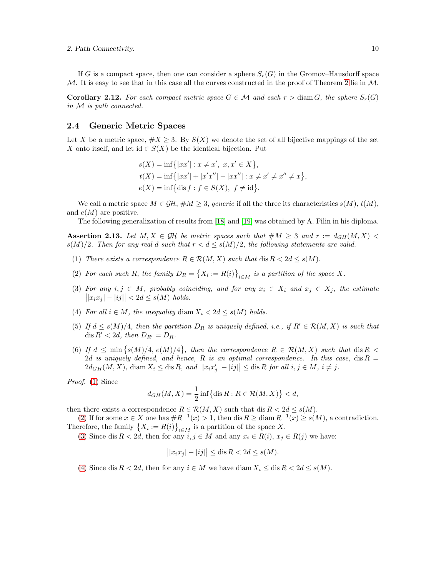If G is a compact space, then one can consider a sphere  $S_r(G)$  in the Gromov–Hausdorff space M. It is easy to see that in this case all the curves constructed in the proof of Theorem [2](#page-8-2) lie in  $M$ .

**Corollary 2.12.** For each compact metric space  $G \in \mathcal{M}$  and each  $r > \text{diam } G$ , the sphere  $S_r(G)$ in M is path connected.

### 2.4 Generic Metric Spaces

Let X be a metric space,  $\#X \geq 3$ . By  $S(X)$  we denote the set of all bijective mappings of the set X onto itself, and let id  $\in S(X)$  be the identical bijection. Put

$$
s(X) = \inf\{|xx'| : x \neq x', x, x' \in X\},
$$
  
\n
$$
t(X) = \inf\{|xx'| + |x'x''| - |xx''| : x \neq x' \neq x'' \neq x\},
$$
  
\n
$$
e(X) = \inf\{\text{dis } f : f \in S(X), f \neq \text{id}\}.
$$

We call a metric space  $M \in \mathcal{GH}, \#M \geq 3$ , generic if all the three its characteristics  $s(M), t(M)$ , and  $e(M)$  are positive.

The following generalization of results from [\[18\]](#page-17-1) and [\[19\]](#page-17-2) was obtained by A. Filin in his diploma.

<span id="page-9-6"></span><span id="page-9-0"></span>**Assertion 2.13.** Let  $M, X \in \mathcal{GH}$  be metric spaces such that  $\#M \geq 3$  and  $r := d_{GH}(M, X)$  $s(M)/2$ . Then for any real d such that  $r < d \leq s(M)/2$ , the following statements are valid.

- <span id="page-9-1"></span>(1) There exists a correspondence  $R \in \mathcal{R}(M, X)$  such that  $dis R < 2d \leq s(M)$ .
- <span id="page-9-2"></span>(2) For each such R, the family  $D_R = \{X_i := R(i)\}_{i \in M}$  is a partition of the space X.
- (3) For any  $i, j \in M$ , probably coinciding, and for any  $x_i \in X_i$  and  $x_j \in X_j$ , the estimate  $||x_ix_j| - |ij|| < 2d \leq s(M)$  holds.
- <span id="page-9-4"></span><span id="page-9-3"></span>(4) For all  $i \in M$ , the inequality diam  $X_i < 2d \le s(M)$  holds.
- (5) If  $d \leq s(M)/4$ , then the partition  $D_R$  is uniquely defined, i.e., if  $R' \in \mathcal{R}(M,X)$  is such that dis  $R' < 2d$ , then  $D_{R'} = D_R$ .
- <span id="page-9-5"></span>(6) If  $d \leq \min \{s(M)/4, e(M)/4\}$ , then the correspondence  $R \in \mathcal{R}(M, X)$  such that  $dis R <$ 2d is uniquely defined, and hence, R is an optimal correspondence. In this case, dis  $R =$  $2d_{GH}(M, X)$ , diam  $X_i \leq$  dis R, and  $||x_i x'_j|-|i j|| \leq$  dis R for all  $i, j \in M$ ,  $i \neq j$ .

Proof. [\(1\)](#page-9-0) Since

$$
d_{GH}(M, X) = \frac{1}{2} \inf \{ \operatorname{dis} R : R \in \mathcal{R}(M, X) \} < d,
$$

then there exists a correspondence  $R \in \mathcal{R}(M, X)$  such that dis  $R < 2d \leq s(M)$ .

[\(2\)](#page-9-1) If for some  $x \in X$  one has  $\#R^{-1}(x) > 1$ , then dis  $R \geq \text{diam } R^{-1}(x) \geq s(M)$ , a contradiction. Therefore, the family  $\{X_i := R(i)\}_{i \in M}$  is a partition of the space X.

[\(3\)](#page-9-2) Since dis  $R < 2d$ , then for any  $i, j \in M$  and any  $x_i \in R(i), x_j \in R(j)$  we have:

$$
||x_ix_j| - |ij|| \leq \operatorname{dis} R < 2d \leq s(M).
$$

[\(4\)](#page-9-3) Since dis  $R < 2d$ , then for any  $i \in M$  we have diam  $X_i \leq \text{dis } R < 2d \leq s(M)$ .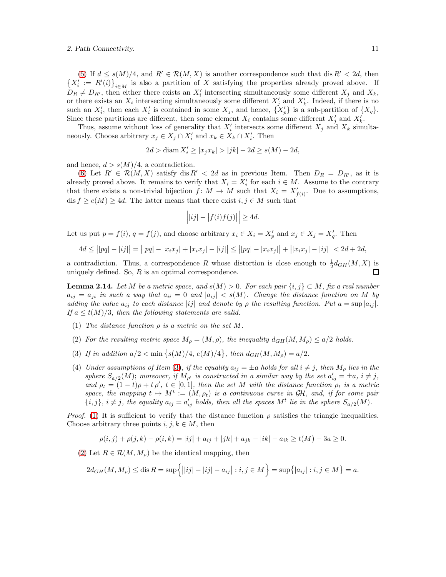[\(5\)](#page-9-4) If  $d \leq s(M)/4$ , and  $R' \in \mathcal{R}(M, X)$  is another correspondence such that dis  $R' < 2d$ , then  $\{X'_i := R'(i)\}_{i \in M}$  is also a partition of X satisfying the properties already proved above. If  $D_R \neq D_{R'}$ , then either there exists an  $X'_i$  intersecting simultaneously some different  $X_j$  and  $X_k$ , or there exists an  $X_i$  intersecting simultaneously some different  $X'_j$  and  $X'_k$ . Indeed, if there is no such an  $X'_i$ , then each  $X'_i$  is contained in some  $X_j$ , and hence,  $\{X'_p\}$  is a sub-partition of  $\{X_q\}$ . Since these partitions are different, then some element  $X_i$  contains some different  $X'_j$  and  $X'_k$ .

Thus, assume without loss of generality that  $X'_{i}$  intersects some different  $X_{j}$  and  $X_{k}$  simultaneously. Choose arbitrary  $x_j \in X_j \cap X'_i$  and  $x_k \in X_k \cap X'_i$ . Then

$$
2d > \text{diam } X'_i \ge |x_j x_k| > |jk| - 2d \ge s(M) - 2d,
$$

and hence,  $d > s(M)/4$ , a contradiction.

[\(6\)](#page-9-5) Let  $R' \in \mathcal{R}(M,X)$  satisfy dis  $R' < 2d$  as in previous Item. Then  $D_R = D_{R'}$ , as it is already proved above. It remains to verify that  $X_i = X'_i$  for each  $i \in M$ . Assume to the contrary that there exists a non-trivial bijection  $f: M \to M$  such that  $X_i = X'_{f(i)}$ . Due to assumptions, dis  $f \ge e(M) \ge 4d$ . The latter means that there exist  $i, j \in M$  such that

$$
\left| |ij| - |f(i)f(j)| \right| \ge 4d.
$$

Let us put  $p = f(i)$ ,  $q = f(j)$ , and choose arbitrary  $x_i \in X_i = X'_p$  and  $x_j \in X_j = X'_q$ . Then

$$
4d \leq \big||pq| - |ij|\big| = \big||pq| - |x_ix_j| + |x_ix_j| - |ij|\big| \leq \big||pq| - |x_ix_j|\big| + \big||x_ix_j| - |ij|\big| < 2d + 2d,
$$

a contradiction. Thus, a correspondence R whose distortion is close enough to  $\frac{1}{2}d_{GH}(M,X)$  is uniquely defined. So,  $R$  is an optimal correspondence.  $\Box$ 

<span id="page-10-4"></span>**Lemma 2.14.** Let M be a metric space, and  $s(M) > 0$ . For each pair  $\{i, j\} \subset M$ , fix a real number  $a_{ij} = a_{ji}$  in such a way that  $a_{ii} = 0$  and  $|a_{ij}| < s(M)$ . Change the distance function on M by adding the value  $a_{ij}$  to each distance |ij| and denote by  $\rho$  the resulting function. Put  $a = \sup |a_{ij}|$ . If  $a \leq t(M)/3$ , then the following statements are valid.

- <span id="page-10-2"></span><span id="page-10-1"></span>(1) The distance function  $\rho$  is a metric on the set M.
- <span id="page-10-0"></span>(2) For the resulting metric space  $M_{\rho} = (M, \rho)$ , the inequality  $d_{GH}(M, M_{\rho}) \leq a/2$  holds.
- <span id="page-10-3"></span>(3) If in addition  $a/2 < \min\left\{s(M)/4, e(M)/4\right\}$ , then  $d_{GH}(M, M_\rho) = a/2$ .
- (4) Under assumptions of Item [\(3\)](#page-10-0), if the equality  $a_{ij} = \pm a$  holds for all  $i \neq j$ , then  $M_{\rho}$  lies in the sphere  $S_{a/2}(M)$ ; moreover, if  $M_{\rho'}$  is constructed in a similar way by the set  $a'_{ij} = \pm a$ ,  $i \neq j$ , and  $\rho_t = (1-t)\rho + t\rho'$ ,  $t \in [0,1]$ , then the set M with the distance function  $\rho_t$  is a metric space, the mapping  $t \mapsto M^t := (M, \rho_t)$  is a continuous curve in GH, and, if for some pair  $\{i, j\}, i \neq j$ , the equality  $a_{ij} = a'_{ij}$  holds, then all the spaces  $M<sup>t</sup>$  lie in the sphere  $S_{a/2}(M)$ .

*Proof.* [\(1\)](#page-10-1) It is sufficient to verify that the distance function  $\rho$  satisfies the triangle inequalities. Choose arbitrary three points  $i, j, k \in M$ , then

$$
\rho(i,j) + \rho(j,k) - \rho(i,k) = |ij| + a_{ij} + |jk| + a_{jk} - |ik| - a_{ik} \ge t(M) - 3a \ge 0.
$$

[\(2\)](#page-10-2) Let  $R \in \mathcal{R}(M, M_{\rho})$  be the identical mapping, then

$$
2d_{GH}(M, M_{\rho}) \leq \text{dis } R = \sup \{||ij| - |ij| - a_{ij}| : i, j \in M\} = \sup \{|a_{ij}| : i, j \in M\} = a.
$$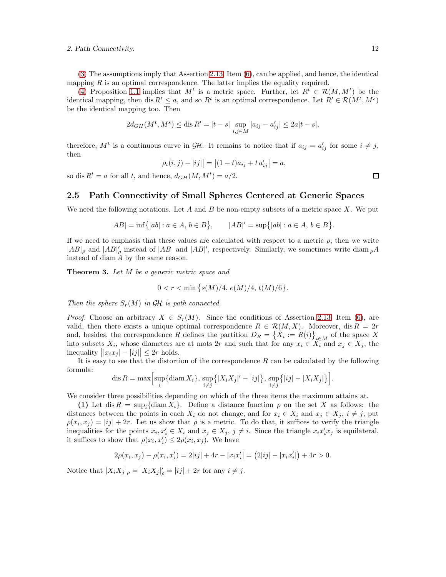[\(3\)](#page-10-0) The assumptions imply that Assertion [2.13,](#page-9-6) Item [\(6\)](#page-9-5), can be applied, and hence, the identical mapping  $R$  is an optimal correspondence. The latter implies the equality required.

[\(4\)](#page-10-3) Proposition [1.1](#page-2-0) implies that  $M^t$  is a metric space. Further, let  $R^t \in \mathcal{R}(M, M^t)$  be the identical mapping, then dis  $R^t \leq a$ , and so  $R^t$  is an optimal correspondence. Let  $R' \in \mathcal{R}(M^t, M^s)$ be the identical mapping too. Then

$$
2d_{GH}(M^t, M^s) \le \text{dis}\, R' = |t - s| \sup_{i,j \in M} |a_{ij} - a'_{ij}| \le 2a|t - s|,
$$

therefore,  $M^t$  is a continuous curve in  $\mathcal{GH}$ . It remains to notice that if  $a_{ij} = a'_{ij}$  for some  $i \neq j$ , then

$$
|\rho_t(i,j) - |ij|| = |(1-t)a_{ij} + t a'_{ij}| = a,
$$

so dis  $R^t = a$  for all t, and hence,  $d_{GH}(M, M^t) = a/2$ .

### 2.5 Path Connectivity of Small Spheres Centered at Generic Spaces

We need the following notations. Let A and B be non-empty subsets of a metric space X. We put

$$
|AB| = \inf\{|ab| : a \in A, b \in B\}, \qquad |AB|' = \sup\{|ab| : a \in A, b \in B\}.
$$

If we need to emphasis that these values are calculated with respect to a metric  $\rho$ , then we write  $|AB|_\rho$  and  $|AB|'_\rho$  instead of  $|AB|$  and  $|AB|'$ , respectively. Similarly, we sometimes write  $\text{diam}_{\rho}A$ instead of diam A by the same reason.

<span id="page-11-0"></span>Theorem 3. Let M be a generic metric space and

$$
0 < r < \min\left\{s(M)/4, \, e(M)/4, \, t(M)/6\right\}.
$$

Then the sphere  $S_r(M)$  in GH is path connected.

*Proof.* Choose an arbitrary  $X \in S_r(M)$ . Since the conditions of Assertion [2.13,](#page-9-6) Item [\(6\)](#page-9-5), are valid, then there exists a unique optimal correspondence  $R \in \mathcal{R}(M, X)$ . Moreover, dis  $R = 2r$ and, besides, the correspondence R defines the partition  $D_R = \{X_i := R(i)\}_{i \in M}$  of the space X into subsets  $X_i$ , whose diameters are at mots 2r and such that for any  $x_i \in X_i$  and  $x_j \in X_j$ , the inequality  $||x_ix_j| - |ij|| \leq 2r$  holds.

It is easy to see that the distortion of the correspondence  $R$  can be calculated by the following formula:

$$
\text{dis } R = \max\Big[\sup_i \{\text{diam}\, X_i\}, \sup_{i \neq j} \big\{|X_i X_j|' - |ij|\big\}, \sup_{i \neq j} \big\{|ij| - |X_i X_j|\big\}\Big].
$$

We consider three possibilities depending on which of the three items the maximum attains at.

(1) Let dis  $R = \sup_i {\{\rm diam}\, X_i\}$ . Define a distance function  $\rho$  on the set X as follows: the distances between the points in each  $X_i$  do not change, and for  $x_i \in X_i$  and  $x_j \in X_j$ ,  $i \neq j$ , put  $\rho(x_i, x_j) = |ij| + 2r$ . Let us show that  $\rho$  is a metric. To do that, it suffices to verify the triangle inequalities for the points  $x_i, x'_i \in X_i$  and  $x_j \in X_j$ ,  $j \neq i$ . Since the triangle  $x_i x'_i x_j$  is equilateral, it suffices to show that  $\rho(x_i, x'_i) \leq 2\rho(x_i, x_j)$ . We have

$$
2\rho(x_i, x_j) - \rho(x_i, x_i') = 2|ij| + 4r - |x_i x_i'| = (2|ij| - |x_i x_i'|) + 4r > 0.
$$

Notice that  $|X_iX_j|_{\rho} = |X_iX_j|_{\rho}' = |ij| + 2r$  for any  $i \neq j$ .

 $\Box$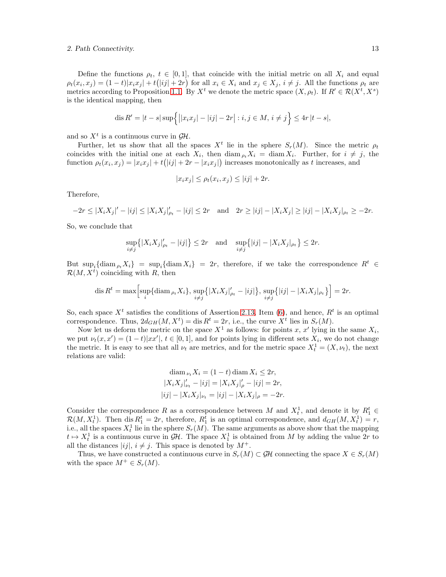Define the functions  $\rho_t$ ,  $t \in [0,1]$ , that coincide with the initial metric on all  $X_i$  and equal  $\rho_t(x_i, x_j) = (1-t)|x_i x_j| + t(|ij| + 2r)$  for all  $x_i \in X_i$  and  $x_j \in X_j$ ,  $i \neq j$ . All the functions  $\rho_t$  are metrics according to Proposition [1.1.](#page-2-0) By  $X^t$  we denote the metric space  $(X, \rho_t)$ . If  $R' \in \mathcal{R}(X^t, X^s)$ is the identical mapping, then

$$
\operatorname{dis} R' = |t - s| \sup \Biggl\{ \bigl| |x_i x_j| - |ij| - 2r \bigr| : i, j \in M, i \neq j \Biggr\} \leq 4r |t - s|,
$$

and so  $X<sup>t</sup>$  is a continuous curve in  $\mathcal{GH}$ .

Further, let us show that all the spaces  $X^t$  lie in the sphere  $S_r(M)$ . Since the metric  $\rho_t$ coincides with the initial one at each  $X_i$ , then  $\text{diam}_{\rho_t} X_i = \text{diam}_{X_i} X_i$ . Further, for  $i \neq j$ , the function  $\rho_t(x_i, x_j) = |x_i x_j| + t(|ij| + 2r - |x_i x_j|)$  increases monotonically as t increases, and

$$
|x_i x_j| \le \rho_t(x_i, x_j) \le |ij| + 2r.
$$

Therefore,

$$
-2r \le |X_i X_j|' - |ij| \le |X_i X_j|'_{\rho_t} - |ij| \le 2r \quad \text{and} \quad 2r \ge |ij| - |X_i X_j| \ge |ij| - |X_i X_j|_{\rho_t} \ge -2r.
$$

So, we conclude that

$$
\sup_{i \neq j} \{|X_i X_j|_{\rho_t}^{\prime} - |ij|\} \leq 2r \quad \text{and} \quad \sup_{i \neq j} \{|ij| - |X_i X_j|_{\rho_t}\} \leq 2r.
$$

But  $\sup_i {\{\rm diam}_{\rho_t} X_i\} = \sup_i {\{\rm diam}\, X_i\} = 2r$ , therefore, if we take the correspondence  $R^t \in$  $\mathcal{R}(M, X^t)$  coinciding with R, then

dis 
$$
R^t = \max \left[ \sup_i \{ \operatorname{diam}_{\rho_t} X_i \}, \sup_{i \neq j} \{ |X_i X_j|_{\rho_t} - |ij| \}, \sup_{i \neq j} \{ |ij| - |X_i X_j|_{\rho_t} \} \right] = 2r.
$$

So, each space  $X<sup>t</sup>$  satisfies the conditions of Assertion [2.13,](#page-9-6) Item [\(6\)](#page-9-5), and hence,  $R<sup>t</sup>$  is an optimal correspondence. Thus,  $2d_{GH}(M, X^t) = \text{dis } R^t = 2r$ , i.e., the curve  $X^t$  lies in  $S_r(M)$ .

Now let us deform the metric on the space  $X^1$  as follows: for points x, x' lying in the same  $X_i$ , we put  $\nu_t(x, x') = (1 - t)|xx'|$ ,  $t \in [0, 1]$ , and for points lying in different sets  $X_i$ , we do not change the metric. It is easy to see that all  $\nu_t$  are metrics, and for the metric space  $X_t^1 = (X, \nu_t)$ , the next relations are valid:

$$
\operatorname{diam}_{\nu_t} X_i = (1 - t) \operatorname{diam} X_i \le 2r,
$$
  
\n
$$
|X_i X_j|_{\nu_t}' - |ij| = |X_i X_j|_{\rho}' - |ij| = 2r,
$$
  
\n
$$
|ij| - |X_i X_j|_{\nu_t} = |ij| - |X_i X_j|_{\rho} = -2r.
$$

Consider the correspondence R as a correspondence between M and  $X_t^1$ , and denote it by  $R_1^t$   $\in$  $\mathcal{R}(M, X_t^1)$ . Then dis  $R_1^t = 2r$ , therefore,  $R_1^t$  is an optimal correspondence, and  $d_{GH}(M, X_t^1) = r$ , i.e., all the spaces  $X_t^1$  lie in the sphere  $S_r(M)$ . The same arguments as above show that the mapping  $t \mapsto X_t^1$  is a continuous curve in  $\mathcal{GH}$ . The space  $X_1^1$  is obtained from M by adding the value  $2r$  to all the distances  $|ij|, i \neq j$ . This space is denoted by  $M^+$ .

Thus, we have constructed a continuous curve in  $S_r(M) \subset \mathcal{GH}$  connecting the space  $X \in S_r(M)$ with the space  $M^+ \in S_r(M)$ .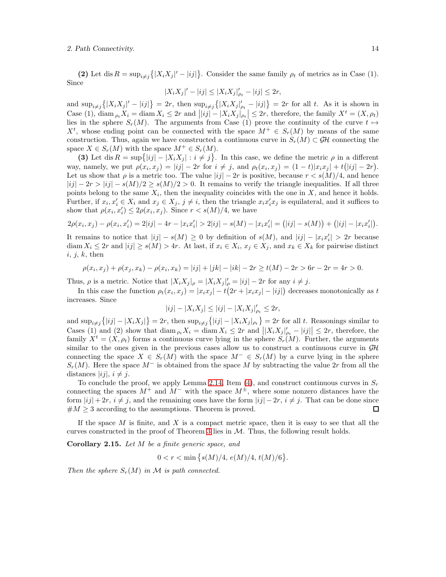(2) Let dis  $R = \sup_{i \neq j} \{|X_i X_j|' - |ij|\}$ . Consider the same family  $\rho_t$  of metrics as in Case (1). Since

$$
|X_i X_j|' - |ij| \le |X_i X_j|'_{\rho_t} - |ij| \le 2r,
$$

and  $\sup_{i\neq j}\{|X_iX_j|'-|ij|\}=2r$ , then  $\sup_{i\neq j}\{|X_iX_j|'_{\rho_t}-|ij|\}=2r$  for all t. As it is shown in Case (1),  $\text{diam}_{\rho_t} X_i = \text{diam}_{X_i} \leq 2r$  and  $||ij| - |X_i X_j|_{\rho_t} \leq 2r$ , therefore, the family  $X^t = (X, \rho_t)$ lies in the sphere  $S_r(M)$ . The arguments from Case (1) prove the continuity of the curve  $t \mapsto$  $X^t$ , whose ending point can be connected with the space  $M^+ \in S_r(M)$  by means of the same construction. Thus, again we have constructed a continuous curve in  $S_r(M) \subset \mathcal{GH}$  connecting the space  $X \in S_r(M)$  with the space  $M^+ \in S_r(M)$ .

(3) Let dis  $R = \sup\{|ij| - |X_i X_j| : i \neq j\}$ . In this case, we define the metric  $\rho$  in a different way, namely, we put  $\rho(x_i, x_j) = |ij| - 2r$  for  $i \neq j$ , and  $\rho_t(x_i, x_j) = (1-t)|x_i x_j| + t(|ij| - 2r)$ . Let us show that  $\rho$  is a metric too. The value  $|ij| - 2r$  is positive, because  $r < s(M)/4$ , and hence  $|ij| - 2r > |i| - s(M)/2 \geq s(M)/2 > 0$ . It remains to verify the triangle inequalities. If all three points belong to the same  $X_i$ , then the inequality coincides with the one in X, and hence it holds. Further, if  $x_i, x'_i \in X_i$  and  $x_j \in X_j$ ,  $j \neq i$ , then the triangle  $x_i x'_i x_j$  is equilateral, and it suffices to show that  $\rho(x_i, x'_i) \leq 2\rho(x_i, x_j)$ . Since  $r < s(M)/4$ , we have

$$
2\rho(x_i, x_j) - \rho(x_i, x'_i) = 2|ij| - 4r - |x_i x'_i| > 2|ij| - s(M) - |x_i x'_i| = (|ij| - s(M)) + (|ij| - |x_i x'_i|).
$$

It remains to notice that  $|ij| - s(M) \geq 0$  by definition of  $s(M)$ , and  $|ij| - |x_i x'_i| > 2r$  because diam  $X_i \le 2r$  and  $|ij| \ge s(M) > 4r$ . At last, if  $x_i \in X_i$ ,  $x_j \in X_j$ , and  $x_k \in X_k$  for pairwise distinct  $i, j, k$ , then

$$
\rho(x_i, x_j) + \rho(x_j, x_k) - \rho(x_i, x_k) = |ij| + |jk| - |ik| - 2r \ge t(M) - 2r > 6r - 2r = 4r > 0.
$$

Thus,  $\rho$  is a metric. Notice that  $|X_i X_j|_{\rho} = |X_i X_j|_{\rho}' = |ij| - 2r$  for any  $i \neq j$ .

In this case the function  $\rho_t(x_i, x_j) = |x_i x_j| - t(2r + |x_i x_j| - |ij|)$  decreases monotonically as t increases. Since

$$
|ij| - |X_i X_j| \le |ij| - |X_i X_j|'_{\rho_t} \le 2r,
$$

and  $\sup_{i\neq j}\{|ij| - |X_iX_j|\} = 2r$ , then  $\sup_{i\neq j}\{|ij| - |X_iX_j|_{\rho_t}\} = 2r$  for all t. Reasonings similar to Cases (1) and (2) show that  $\text{diam}_{\rho_t} X_i = \text{diam}_X X_i \leq 2r$  and  $||X_i X_j||_{\rho_t} - |ij|| \leq 2r$ , therefore, the family  $X^t = (X, \rho_t)$  forms a continuous curve lying in the sphere  $S_r(M)$ . Further, the arguments similar to the ones given in the previous cases allow us to construct a continuous curve in  $\mathcal{GH}$ connecting the space  $X \in S_r(M)$  with the space  $M^- \in S_r(M)$  by a curve lying in the sphere  $S_r(M)$ . Here the space  $M^-$  is obtained from the space M by subtracting the value 2r from all the distances  $|ij|, i \neq j.$ 

To conclude the proof, we apply Lemma [2.14,](#page-10-4) Item [\(4\)](#page-10-3), and construct continuous curves in  $S_r$ connecting the spaces  $M^+$  and  $M^-$  with the space  $M^{\pm}$ , where some nonzero distances have the form  $|ij| + 2r$ ,  $i \neq j$ , and the remaining ones have the form  $|ij| - 2r$ ,  $i \neq j$ . That can be done since  $#M \geq 3$  according to the assumptions. Theorem is proved. □

If the space  $M$  is finite, and  $X$  is a compact metric space, then it is easy to see that all the curves constructed in the proof of Theorem [3](#page-11-0) lies in  $M$ . Thus, the following result holds.

Corollary 2.15. Let M be a finite generic space, and

$$
0 < r < \min\left\{s(M)/4, \, e(M)/4, \, t(M)/6\right\}.
$$

Then the sphere  $S_r(M)$  in M is path connected.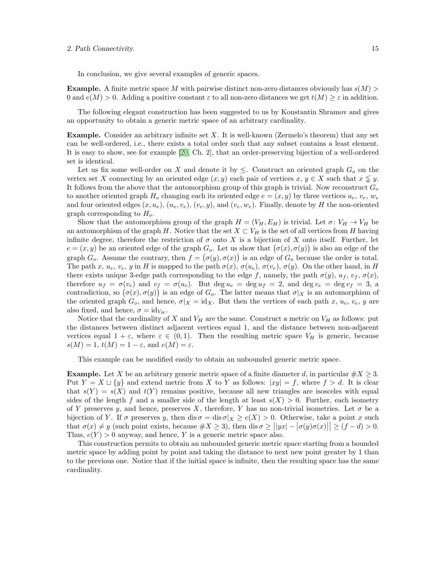In conclusion, we give several examples of generic spaces.

**Example.** A finite metric space M with pairwise distinct non-zero distances obviously has  $s(M)$ 0 and  $e(M) > 0$ . Adding a positive constant  $\varepsilon$  to all non-zero distances we get  $t(M) \geq \varepsilon$  in addition.

The following elegant construction has been suggested to us by Konstantin Shramov and gives an opportunity to obtain a generic metric space of an arbitrary cardinality.

**Example.** Consider an arbitrary infinite set  $X$ . It is well-known (Zermelo's theorem) that any set can be well-ordered, i.e., there exists a total order such that any subset contains a least element. It is easy to show, see for example [\[20,](#page-17-3) Ch. 2], that an order-preserving bijection of a well-ordered set is identical.

Let us fix some well-order on X and denote it by  $\leq$ . Construct an oriented graph  $G<sub>o</sub>$  on the vertex set X connecting by an oriented edge  $(x, y)$  each pair of vertices  $x, y \in X$  such that  $x \leq y$ . It follows from the above that the automorphism group of this graph is trivial. Now reconstruct  $G<sub>o</sub>$ to another oriented graph  $H_o$  changing each its oriented edge  $e = (x, y)$  by three vertices  $u_e, v_e, w_e$ and four oriented edges  $(x, u_e)$ ,  $(u_e, v_e)$ ,  $(v_e, y)$ , and  $(v_e, w_e)$ . Finally, denote by H the non-oriented graph corresponding to  $H<sub>o</sub>$ .

Show that the automorphism group of the graph  $H = (V_H, E_H)$  is trivial. Let  $\sigma: V_H \to V_H$  be an automorphism of the graph H. Notice that the set  $X \subset V_H$  is the set of all vertices from H having infinite degree, therefore the restriction of  $\sigma$  onto X is a bijection of X onto itself. Further, let  $e = (x, y)$  be an oriented edge of the graph  $G_o$ . Let us show that  $(\sigma(x), \sigma(y))$  is also an edge of the graph  $G_o$ . Assume the contrary, then  $f = (\sigma(y), \sigma(x))$  is an edge of  $G_o$  because the order is total. The path x,  $u_e$ ,  $v_e$ , y in H is mapped to the path  $\sigma(x)$ ,  $\sigma(u_e)$ ,  $\sigma(v_e)$ ,  $\sigma(y)$ . On the other hand, in H there exists unique 3-edge path corresponding to the edge f, namely, the path  $\sigma(y)$ ,  $u_f$ ,  $v_f$ ,  $\sigma(x)$ , therefore  $u_f = \sigma(v_e)$  and  $v_f = \sigma(u_e)$ . But  $\deg u_e = \deg u_f = 2$ , and  $\deg v_e = \deg v_f = 3$ , a contradiction, so  $(\sigma(x), \sigma(y))$  is an edge of  $G_o$ . The latter means that  $\sigma|_X$  is an automorphism of the oriented graph  $G_o$ , and hence,  $\sigma|_X = id_X$ . But then the vertices of each path x,  $u_e, v_e, y$  are also fixed, and hence,  $\sigma = id_{V_H}$ .

Notice that the cardinality of X and  $V_H$  are the same. Construct a metric on  $V_H$  as follows: put the distances between distinct adjacent vertices equal 1, and the distance between non-adjacent vertices equal  $1 + \varepsilon$ , where  $\varepsilon \in (0, 1)$ . Then the resulting metric space  $V_H$  is generic, because  $s(M) = 1, t(M) = 1 - \varepsilon$ , and  $e(M) = \varepsilon$ .

This example can be modified easily to obtain an unbounded generic metric space.

**Example.** Let X be an arbitrary generic metric space of a finite diameter d, in particular  $\#X \geq 3$ . Put  $Y = X \sqcup \{y\}$  and extend metric from X to Y as follows:  $|xy| = f$ , where  $f > d$ . It is clear that  $s(Y) = s(X)$  and  $t(Y)$  remains positive, because all new triangles are isosceles with equal sides of the length f and a smaller side of the length at least  $s(X) > 0$ . Further, each isometry of Y preserves y, and hence, preserves X, therefore, Y has no non-trivial isometries. Let  $\sigma$  be a bijection of Y. If  $\sigma$  preserves y, then dis  $\sigma = \text{dis } \sigma|_X \ge e(X) > 0$ . Otherwise, take a point x such that  $\sigma(x) \neq y$  (such point exists, because  $\#X \geq 3$ ), then dis  $\sigma \geq ||yx| - |\sigma(y)\sigma(x)|| \geq (f - d) > 0$ . Thus,  $e(Y) > 0$  anyway, and hence, Y is a generic metric space also.

This construction permits to obtain an unbounded generic metric space starting from a bounded metric space by adding point by point and taking the distance to next new point greater by 1 than to the previous one. Notice that if the initial space is infinite, then the resulting space has the same cardinality.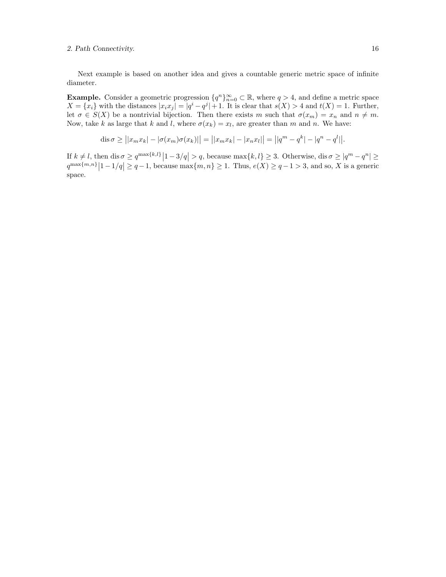Next example is based on another idea and gives a countable generic metric space of infinite diameter.

**Example.** Consider a geometric progression  $\{q^n\}_{n=0}^{\infty} \subset \mathbb{R}$ , where  $q > 4$ , and define a metric space  $X = \{x_i\}$  with the distances  $|x_i x_j| = |q^i - q^j| + 1$ . It is clear that  $s(X) > 4$  and  $t(X) = 1$ . Further, let  $\sigma \in S(X)$  be a nontrivial bijection. Then there exists m such that  $\sigma(x_m) = x_n$  and  $n \neq m$ . Now, take k as large that k and l, where  $\sigma(x_k) = x_l$ , are greater than m and n. We have:

dis
$$
\sigma \ge ||x_m x_k| - |\sigma(x_m)\sigma(x_k)|| = ||x_m x_k| - |x_n x_l|| = ||q^m - q^k| - |q^n - q^l||.
$$

If  $k \neq l$ , then  $\text{dis}\ \sigma \geq q^{\max\{k,l\}}|1-3/q| > q$ , because  $\max\{k,l\} \geq 3$ . Otherwise,  $\text{dis}\ \sigma \geq |q^m - q^n| \geq$  $q^{\max\{m,n\}}|1-1/q| \geq q-1$ , because  $\max\{m,n\} \geq 1$ . Thus,  $e(X) \geq q-1 > 3$ , and so, X is a generic space.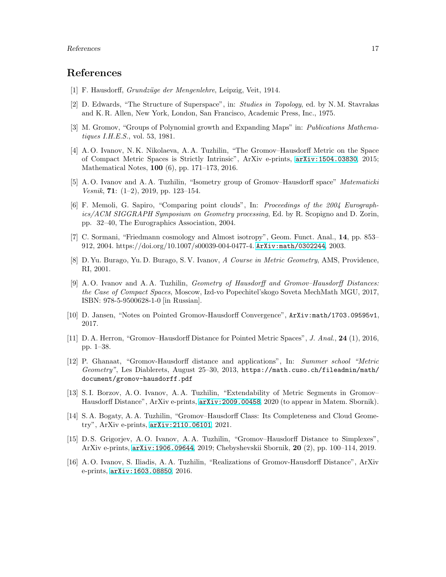### <span id="page-16-0"></span>References

- <span id="page-16-1"></span>[1] F. Hausdorff, *Grundzüge der Mengenlehre*, Leipzig, Veit, 1914.
- <span id="page-16-2"></span>[2] D. Edwards, "The Structure of Superspace", in: Studies in Topology, ed. by N. M. Stavrakas and K. R. Allen, New York, London, San Francisco, Academic Press, Inc., 1975.
- <span id="page-16-3"></span>[3] M. Gromov, "Groups of Polynomial growth and Expanding Maps" in: Publications Mathematiques I.H.E.S., vol. 53, 1981.
- [4] A. O. Ivanov, N. K. Nikolaeva, A. A. Tuzhilin, "The Gromov–Hausdorff Metric on the Space of Compact Metric Spaces is Strictly Intrinsic", ArXiv e-prints, [arXiv:1504.03830](http://arxiv.org/abs/1504.03830), 2015; Mathematical Notes, 100 (6), pp. 171–173, 2016.
- <span id="page-16-4"></span>[5] A. O. Ivanov and A. A. Tuzhilin, "Isometry group of Gromov–Hausdorff space" Matematicki Vesnik, 71:  $(1-2)$ , 2019, pp. 123–154.
- <span id="page-16-5"></span>[6] F. Memoli, G. Sapiro, "Comparing point clouds", In: Proceedings of the 2004 Eurographics/ACM SIGGRAPH Symposium on Geometry processing, Ed. by R. Scopigno and D. Zorin, pp. 32–40, The Eurographics Association, 2004.
- <span id="page-16-6"></span>[7] C. Sormani, "Friedmann cosmology and Almost isotropy", Geom. Funct. Anal., 14, pp. 853– 912, 2004. https://doi.org/10.1007/s00039-004-0477-4. [ArXiv:math/0302244](http://arxiv.org/abs/math/0302244), 2003.
- <span id="page-16-7"></span>[8] D. Yu. Burago, Yu. D. Burago, S. V. Ivanov, A Course in Metric Geometry, AMS, Providence, RI, 2001.
- <span id="page-16-8"></span>[9] A. O. Ivanov and A. A. Tuzhilin, Geometry of Hausdorff and Gromov–Hausdorff Distances: the Case of Compact Spaces, Moscow, Izd-vo Popechitel'skogo Soveta MechMath MGU, 2017, ISBN: 978-5-9500628-1-0 [in Russian].
- <span id="page-16-10"></span><span id="page-16-9"></span>[10] D. Jansen, "Notes on Pointed Gromov-Hausdorff Convergence", ArXiv:math/1703.09595v1, 2017.
- [11] D. A. Herron, "Gromov–Hausdorff Distance for Pointed Metric Spaces", J. Anal., 24 (1), 2016, pp. 1–38.
- <span id="page-16-13"></span>[12] P. Ghanaat, "Gromov-Hausdorff distance and applications", In: Summer school "Metric Geometry", Les Diablerets, August 25–30, 2013, https://math.cuso.ch/fileadmin/math/ document/gromov-hausdorff.pdf
- <span id="page-16-11"></span>[13] S. I. Borzov, A. O. Ivanov, A. A. Tuzhilin, "Extendability of Metric Segments in Gromov– Hausdorff Distance", ArXiv e-prints, [arXiv:2009.00458](http://arxiv.org/abs/2009.00458), 2020 (to appear in Matem. Sbornik).
- <span id="page-16-12"></span>[14] S. A. Bogaty, A. A. Tuzhilin, "Gromov–Hausdorff Class: Its Completeness and Cloud Geometry", ArXiv e-prints, [arXiv:2110.06101](http://arxiv.org/abs/2110.06101), 2021.
- <span id="page-16-14"></span>[15] D. S. Grigorjev, A. O. Ivanov, A. A. Tuzhilin, "Gromov–Hausdorff Distance to Simplexes", ArXiv e-prints, [arXiv:1906.09644](http://arxiv.org/abs/1906.09644), 2019; Chebyshevskii Sbornik, 20 (2), pp. 100–114, 2019.
- <span id="page-16-15"></span>[16] A. O. Ivanov, S. Iliadis, A. A. Tuzhilin, "Realizations of Gromov-Hausdorff Distance", ArXiv e-prints, [arXiv:1603.08850](http://arxiv.org/abs/1603.08850), 2016.